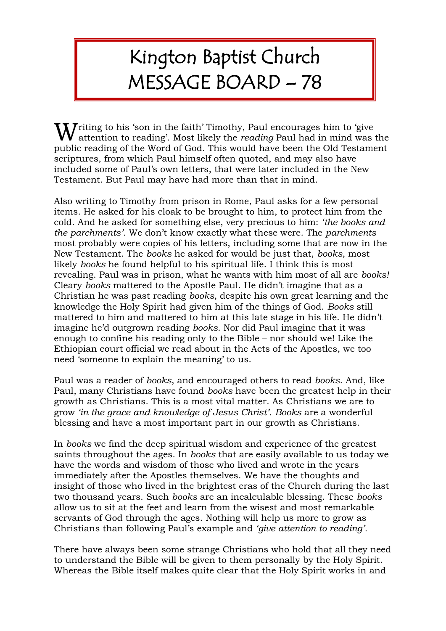## Kington Baptist Church MESSAGE BOARD – 78

**W** riting to his 'son in the faith' Timothy, Paul encourages him to 'give' attention to reading'. Most likely the *reading* Paul had in mind was attention to reading'. Most likely the *reading* Paul had in mind was the public reading of the Word of God. This would have been the Old Testament scriptures, from which Paul himself often quoted, and may also have included some of Paul's own letters, that were later included in the New Testament. But Paul may have had more than that in mind.

Also writing to Timothy from prison in Rome, Paul asks for a few personal items. He asked for his cloak to be brought to him, to protect him from the cold. And he asked for something else, very precious to him: *'the books and the parchments'.* We don't know exactly what these were. The *parchments* most probably were copies of his letters, including some that are now in the New Testament. The *books* he asked for would be just that, *books*, most likely *books* he found helpful to his spiritual life. I think this is most revealing. Paul was in prison, what he wants with him most of all are *books!*  Cleary *books* mattered to the Apostle Paul. He didn't imagine that as a Christian he was past reading *books*, despite his own great learning and the knowledge the Holy Spirit had given him of the things of God. *Books* still mattered to him and mattered to him at this late stage in his life. He didn't imagine he'd outgrown reading *books*. Nor did Paul imagine that it was enough to confine his reading only to the Bible – nor should we! Like the Ethiopian court official we read about in the Acts of the Apostles, we too need 'someone to explain the meaning' to us.

Paul was a reader of *books*, and encouraged others to read *books*. And, like Paul, many Christians have found *books* have been the greatest help in their growth as Christians. This is a most vital matter. As Christians we are to grow *'in the grace and knowledge of Jesus Christ'. Books* are a wonderful blessing and have a most important part in our growth as Christians.

In *books* we find the deep spiritual wisdom and experience of the greatest saints throughout the ages. In *books* that are easily available to us today we have the words and wisdom of those who lived and wrote in the years immediately after the Apostles themselves. We have the thoughts and insight of those who lived in the brightest eras of the Church during the last two thousand years. Such *books* are an incalculable blessing. These *books* allow us to sit at the feet and learn from the wisest and most remarkable servants of God through the ages. Nothing will help us more to grow as Christians than following Paul's example and *'give attention to reading'.*

There have always been some strange Christians who hold that all they need to understand the Bible will be given to them personally by the Holy Spirit. Whereas the Bible itself makes quite clear that the Holy Spirit works in and